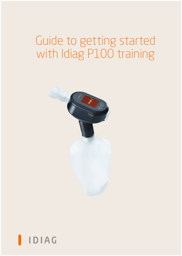# Guide to getting started with Idiag P100 training



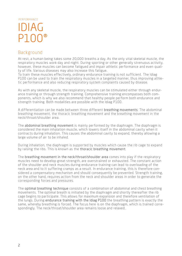## IDIAG  $P10$ PERFORMANCE

## Background

At rest, a human being takes some 20,000 breaths a day. As the only vital skeletal muscle, the respiratory muscles work day and night. During sporting or other generally strenuous activity, however, these muscles can become fatigued and impair athletic performance and even quality of life. Various diseases may also increase this fatigue.

To train these muscles effectively, ordinary endurance training is not sufficient. The Idiag P100 can be used to train the respiratory muscles in a targeted manner, thus improving athletic performance and also reducing respiratory system complaints caused by disease.

As with any skeletal muscle, the respiratory muscles can be stimulated either through endurance training or through strength training. Comprehensive training encompasses both components, which is why we also recommend that healthy people perform both endurance and strength training. Both modalities are possible with the Idiag P100.

A differentiation can be made between three different breathing movements: The abdominal breathing movement, the thoracic breathing movement and the breathing movement in the neck/throat/shoulder area.

The abdominal breathing movement is mainly performed by the diaphragm. The diaphragm is considered the main inhalation muscle, which lowers itself in the abdominal cavity when it contracts during inhalation. This causes the abdominal cavity to expand, thereby allowing a large volume of air to be inhaled.

During inhalation, the diaphragm is supported by muscles which cause the rib cage to expand by raising the ribs. This is known as the thoracic breathing movement.

The breathing movement in the neck/throat/shoulder area comes into play if the respiratory muscles need to develop great strength, are overstrained or exhausted. The constant action of the shoulder and neck muscles during endurance training can lead to overloading of the neck area and to it suffering cramps as a result. In endurance training, this is therefore considered a compensatory mechanism and should consequently be prevented. Strength training, on the other hand, requires action from the neck and shoulder areas in order to generate the corresponding forces and pressures.

The optimal breathing technique consists of a combination of abdominal and chest breathing movements. The optimal breath is initiated by the diaphragm and shortly thereafter the rib cage begins to participate. This allows for maximum expansion and therefore ventilation of the lungs. During endurance training with the Idiag P100 the breathing pattern is exactly the same, whereby breathing is forced. The focus here is on the diaphragm, which is trained correspondingly. The neck/throat/shoulder area remains loose and relaxed..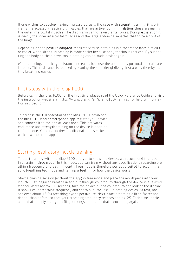If one wishes to develop maximum pressures, as is the case with strength training, it is primarily the accessory respiratory muscles that are active. During inhalation, these are mainly the outer intercostal muscles. The diaphragm cannot exert large forces. During exhalation it is mainly the inner intercostal muscles and the large abdominal muscles that force air out of the lungs.

Depending on the posture adopted, respiratory muscle training is either made more difficult or easier. When sitting, breathing is made easier because body tension is reduced. By supporting the body on the elbows too, breathing can be made easier again.

When standing, breathing resistance increases because the upper body postural musculature is tense. This resistance is reduced by leaning the shoulder girdle against a wall, thereby making breathing easier.

## First steps with the Idiag P100

Before using the Idiag P100 for the first time, please read the Quick Reference Guide and visit the instruction website at https://www.idiag.ch/en/idiag-p100-training/ for helpful information in video form.

To harness the full potential of the Idiag P100, download the Idiag P100sport smartphone app, register your device and connect it to the app at least once. This activates endurance and strength training on the device in addition to free mode. You can run these additional modes either with or without the app.



## Starting respiratory muscle training

To start training with the Idiag P100 and get to know the device, we recommend that you first train in "free mode". In this mode, you can train without any specifications regarding breathing frequency or breathing depth. Free mode is therefore perfectly suited to acquiring a solid breathing technique and gaining a feeling for how the device works.

Start a training session (without the app) in free mode and place the mouthpiece into your mouth. First, begin to breathe in and out through your mouth through the device in a relaxed manner. After approx. 30 seconds, take the device out of your mouth and look at the display. It shows your breathing frequency and depth over the last 3 breathing cycles. At rest, one achieves about 15-20 breathing cycles per minute. Next, start breathing a little faster and deeper than before, so that your breathing frequency reaches approx. 25. Each time, inhale and exhale deeply enough to fill your lungs and then exhale completely again.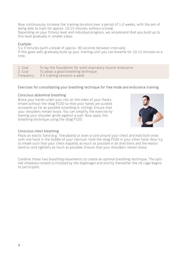Now continuously increase the training duration over a period of 1-2 weeks, with the aim of being able to train for approx. 10-15 minutes without a break. Depending on your fitness level and individual progress, we recommend that you build up to this level gradually in smaller steps.

#### Example:

5 x 3 minutes (with a break of approx. 30 seconds between intervals). If this goes well, gradually build up your training until you can breathe for 10-15 minutes at a time.

1. Goal To lay the foundation for solid respiratory muscle endurance 2. Goal To adopt a good breathing technique Frequency 3-5 training sessions a week

## Exercises for consolidating your breathing technique for free mode and endurance training

## Conscious abdominal breathing

Brace your hands under your ribs on the sides of your flanks. Inhale without the Idiag P100 so that your hands are pushed outwards as far as possible (standing or sitting). Ensure that your shoulders remain loose. You can simplify the exercise by leaning your shoulder girdle against a wall. Now apply this breathing technique using the Idiag P100.



## Conscious chest breathing

Place an elastic band (e.g. Theraband) or even a cord around your chest and hold both ends with one hand in the middle of your sternum. Hold the Idiag P100 in your other hand. Now try to inhale such that your chest expands as much as possible in all directions and the elastic band or cord tightens as much as possible. Ensure that your shoulders remain loose.

Combine these two breathing movements to create an optimal breathing technique. The optimal inhalation breath is initiated by the diaphragm and shortly thereafter the rib cage begins to participate.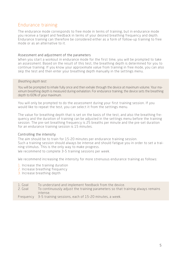## Endurance training

The endurance mode corresponds to free mode in terms of training, but in endurance mode you receive a target and feedback in terms of your desired breathing frequency and depth. Endurance training can therefore be considered either as a form of follow-up training to free mode or as an alternative to it.

### Assessment and adjustment of the parameters

When you start a workout in endurance mode for the first time, you will be prompted to take an assessment. Based on the result of this test, the breathing depth is determined for you to continue training. If you know your approximate value from training in free mode, you can also skip the test and then enter your breathing depth manually in the settings menu.

#### *Breathing depth test:*

You will be prompted to inhale fully once and then exhale through the device at maximum volume. Your maximum breathing depth is measured during exhalation. For endurance training, the device sets the breathing depth to 60% of your maximum.

You will only be prompted to do the assessment during your first training session. If you would like to repeat the test, you can select it from the settings menu.

The value for breathing depth that is set on the basis of the test, and also the breathing frequency and the duration of training can be adjusted in the settings menu before the training session. The pre-set breathing frequency is 25 breaths per minute and the pre-set duration for an endurance training session is 15 minutes.

## Controlling the intensity

The aim should be to train for 15-20 minutes per endurance training session. Such a training session should always be intense and should fatigue you in order to set a training stimulus. This is the only way to make progress.

We recommend to complete 3-5 training sessions per week.

We recommend increasing the intensity for more strenuous endurance training as follows:

- 1. Increase the training duration
- 2. Increase breathing frequency
- 3. Increase breathing depth

| 1. Goal |  | To understand and implement feedback from the device. |
|---------|--|-------------------------------------------------------|
|         |  |                                                       |

- 2. Goal To continuously adjust the training parameters so that training always remains intense.
- Frequency 3-5 training sessions, each of 15-20 minutes, a week.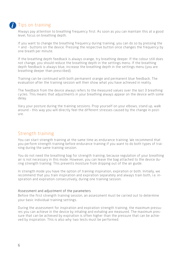

## **T** Tips on training

Always pay attention to breathing frequency first. As soon as you can maintain this at a good level, focus on breathing depth.

If you want to change the breathing frequency during training, you can do so by pressing the + and - buttons on the device. Pressing the respective button once changes the frequency by one breath per minute.

If the breathing depth feedback is always orange, try breathing deeper. If the colour still does not change, you should reduce the breathing depth in the settings menu. If the breathing depth feedback is always blue, increase the breathing depth in the settings menu (you are breathing deeper than prescribed).

Training can be continued with both permanent orange and permanent blue feedback. The evaluation after the training session will then show what you have achieved in reality.

The feedback from the device always refers to the measured values over the last 3 breathing cycles. This means that adjustments in your breathing always appear on the device with some delay.

Vary your posture during the training sessions. Prop yourself on your elbows, stand up, walk around – this way you will directly feel the different stresses caused by the change in posture.

## Strength training

You can start strength training at the same time as endurance training. We recommend that you perform strength training before endurance training if you want to do both types of training during the same training session.

You do not need the breathing bag for strength training, because regulation of your breathing air is not necessary in this mode. However, you can leave the bag attached to the device during strength training. This prevents moisture from dripping out of the air guide.

In strength mode you have the option of training inspiration, expiration or both. Initially, we recommend that you train inspiration and expiration separately and always train both, i.e. inspiration and expiration consecutively, during one training session.

## Assessment and adjustment of the parameters

Before the first strength training session, an assessment must be carried out to determine your basic individual training settings.

During the assessment for inspiration and expiration strength training, the maximum pressures you can achieve in the device by inhaling and exhaling are measured. The maximum pressure that can be achieved by expiration is often higher than the pressure that can be achieved by inspiration. This is also why two tests must be performed.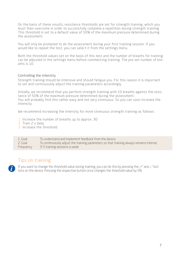On the basis of these results, resistance thresholds are set for strength training, which you must then overcome in order to successfully complete a repetition during strength training. This threshold is set to a default value of 50% of the maximum pressure determined during the assessment.

You will only be prompted to do the assessment during your first training session. If you would like to repeat the test, you can select it from the settings menu.

Both the threshold values set on the basis of this test and the number of breaths for training can be adjusted in the settings menu before commencing training. The pre-set number of breaths is 10.

#### Controlling the intensity

Strength training should be intensive and should fatigue you. For this reason it is important to set and continuously adjust the training parameters accordingly.

Initially, we recommend that you perform strength training with 10 breaths against the resistance of 50% of the maximum pressure determined during the assessment. You will probably find this rather easy and not very strenuous. So you can soon increase the intensity.

We recommend increasing the intensity for more strenuous strength training as follows:

- 1. Increase the number of breaths up to approx. 30
- 2. Train 2 x daily
- 3. Increase the threshold

| 1. Goal   | To understand and implement feedback from the device.                                   |
|-----------|-----------------------------------------------------------------------------------------|
| 2. Goal   | To continuously adjust the training parameters so that training always remains intense. |
| Frequency | 3-5 training sessions a week                                                            |

## Tips on training

If you want to change the threshold value during training, you can do this by pressing the  $*$  and  $*$  buttons on the device. Pressing the respective button once changes the threshold value by 5%.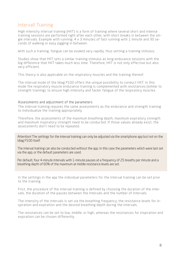## Intervall Training

High intensity interval training (HIIT) is a form of training where several short and intense training sessions are performed right after each other, with short breaks in between the single intervals. Example with running: 4 x 3 minutes of fast running with 1 minute and 30 seconds of walking or easy jogging in between.

With such a training, fatigue can be evoked very rapidly, thus setting a training stimulus.

Studies show that HIIT sets a similar training stimulus as long endurance sessions with the big difference that HIIT takes much less time. Therefore, HIIT is not only effective but also very efficient.

This theory is also applicable on the respiratory muscles and the training thereof.

The interval mode of the Idiag P100 offers the unique possibility to conduct HIIT. In this mode the respiratory muscle endurance training is complemented with resistances (similar to strength training), to ensure high intensity and faster fatigue of the respiratory muscles.

#### Assessments and adjustment of the parameters

The interval training requires the same assessments as the endurance and strength training to individualize the training appropriately.

Therefore, the assessments of the maximum breathing depth, maximum expiratory strength and maximum inspiratory strength need to be conducted. If those values already exist, the assessments don't need to be repeated.

Attention! The settings for the interval training can only be adjusted via the smartphone app but not on the Idiag P100 itself.

The interval training can also be conducted without the app. In this case the parameters which were last set via the app, or the default parameters are used.

Per default, four 4-minute intervals with 1-minute pauses at a frequency of 25 breaths per minute and a breathing depth of 60% of the maximum at middle resistance levels are set.

In the settings in the app the individual parameters for the interval training can be set prior to the training.

First, the procedure of the interval training is defined by choosing the duration of the intervals, the duration of the pauses between the intervals and the number of intervals.

The intensity of the intervals is set via the breathing frequency, the resistance levels for inspiration and expiration and the desired breathing depth during the intervals.

The resistances can be set to low, middle, or high, whereas the resistances for inspiration and expiration can be chosen differently.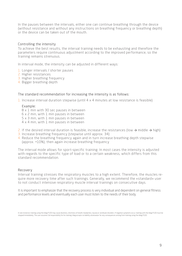In the pauses between the intervals, either one can continue breathing through the device (without resistance and without any instructions on breathing frequency or breathing depth) or the device can be taken out of the mouth.

#### Controlling the intensity

To achieve the best results, the interval training needs to be exhausting and therefore the parameters require continuous adjustment according to the improved performance, so the training remains strenuous.

In interval mode, the intensity can be adjusted in different ways:

- 1. Longer intervals / shorter pauses
- 2. Higher resistances
- 3. Higher breathing frequency
- 4. Bigger breathing depth

#### The standard recommendation for increasing the intensity is as follows:

1. Increase interval duration stepwise (until 4 x 4 minutes at low resistance is feasible)

#### Example:

8 x 1 min with 30 sec pauses in between

- 6 x 2 min, with 1 min pauses in between
- 5 x 3 min, with 1 min pauses in between
- 4 x 4 min, with 1 min pauses in between
- 2. If the desired interval duration is feasible, increase the resistances (low  $\rightarrow$  middle  $\rightarrow$  high)
- 3. Increase breathing frequency (stepwise until approx. 34)
- 4. Reduce the breathing frequency again and in turn increase breathing depth stepwise (approx. +10%), then again increase breathing frequency

The interval mode allows for sport-specific training. In most cases the intensity is adjusted with regards to the specific type of load or to a certain weakness, which differs from this standard recommendation.

#### Recovery

Interval training stresses the respiratory muscles to a high extent. Therefore, the muscles require more recovery time after such trainings. Generally, we recommend the «standard» user to not conduct intensive respiratory muscle interval trainings on consecutive days.

It is important to emphasize that the recovery process is very individual and dependent on general fitness and performance levels and eventually each user must listen to the needs of their body.

In rare instances training using the Idiag P100 may cause dizziness, shortness of breath, headaches, nausea or vestibular disorders. If negative symptoms occur, training with the Idiag P100 must be stopped immediately. The user assumes full responsibility for his training. Idiag accepts no liability whatsoever for any consequences arising from training using the Idiag P100.